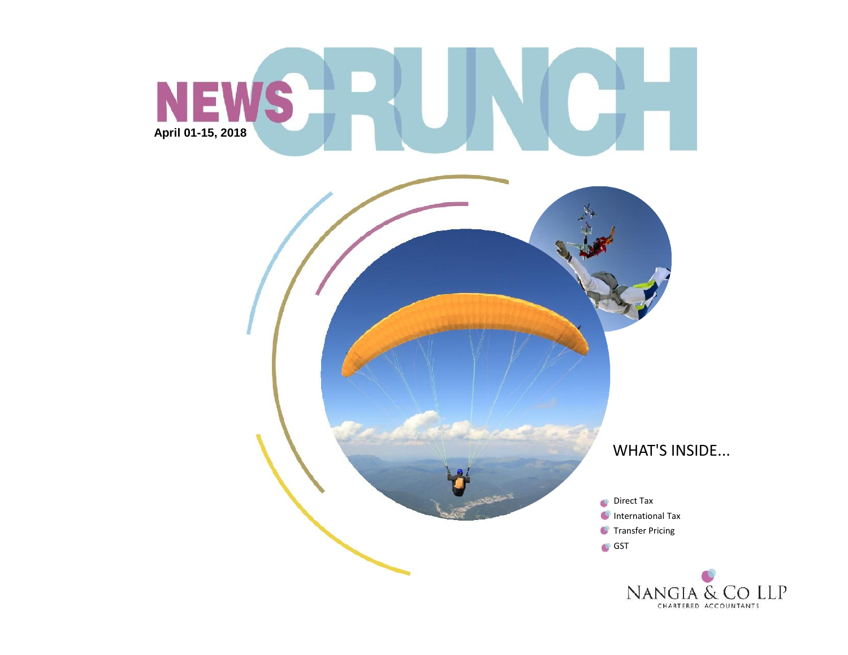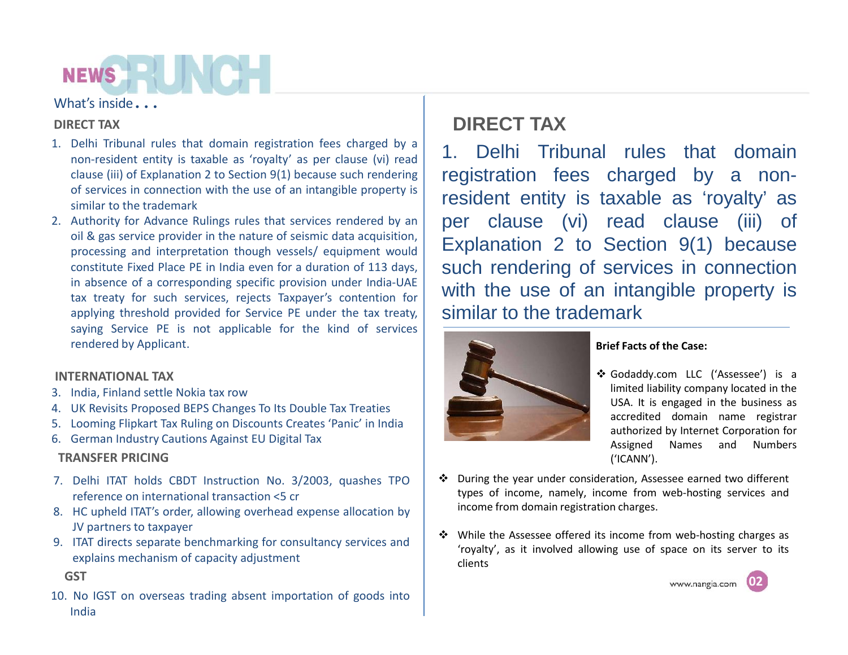### What's inside*…*

### **DIRECT TAX**

- 1. Delhi Tribunal rules that domain registration fees charged by a non-resident entity is taxable as 'royalty' as per clause (vi) read clause (iii) of Explanation 2 to Section 9(1) because such rendering of services in connection with the use of an intangible property is similar to the trademark
- 2. Authority for Advance Rulings rules that services rendered by an oil & gas service provider in the nature of seismic data acquisition, processing and interpretation though vessels/ equipment would constitute Fixed Place PE in India even for a duration of 113 days, in absence of a corresponding specific provision under India-UAE tax treaty for such services, rejects Taxpayer's contention for applying threshold provided for Service PE under the tax treaty, saying Service PE is not applicable for the kind of services rendered by Applicant.

#### **INTERNATIONAL TAX**

- 3. India, Finland settle Nokia tax row
- 4. UK Revisits Proposed BEPS Changes To Its Double Tax Treaties
- 5. Looming Flipkart Tax Ruling on Discounts Creates 'Panic' in India
- 6. German Industry Cautions Against EU Digital Tax

### **TRANSFER PRICING**

- 7. Delhi ITAT holds CBDT Instruction No. 3/2003, quashes TPO reference on international transaction <5 cr
- 8. HC upheld ITAT's order, allowing overhead expense allocation by JV partners to taxpayer
- 9. ITAT directs separate benchmarking for consultancy services and explains mechanism of capacity adjustment

**GST**

10. No IGST on overseas trading absent importation of goods into India

### **DIRECT TAX**

1. Delhi Tribunal rules that domain registration fees charged by a nonresident entity is taxable as 'royalty' as per clause (vi) read clause (iii) of Explanation 2 to Section 9(1) because such rendering of services in connection with the use of an intangible property is similar to the trademark



#### **Brief Facts of the Case:**

- Godaddy.com LLC ('Assessee') is a limited liability company located in the USA. It is engaged in the business as accredited domain name registrar authorized by Internet Corporation for Assigned Names and Numbers ('ICANN').
- During the year under consideration, Assessee earned two different types of income, namely, income from web-hosting services and income from domain registration charges.
- While the Assessee offered its income from web-hosting charges as 'royalty', as it involved allowing use of space on its server to its clients

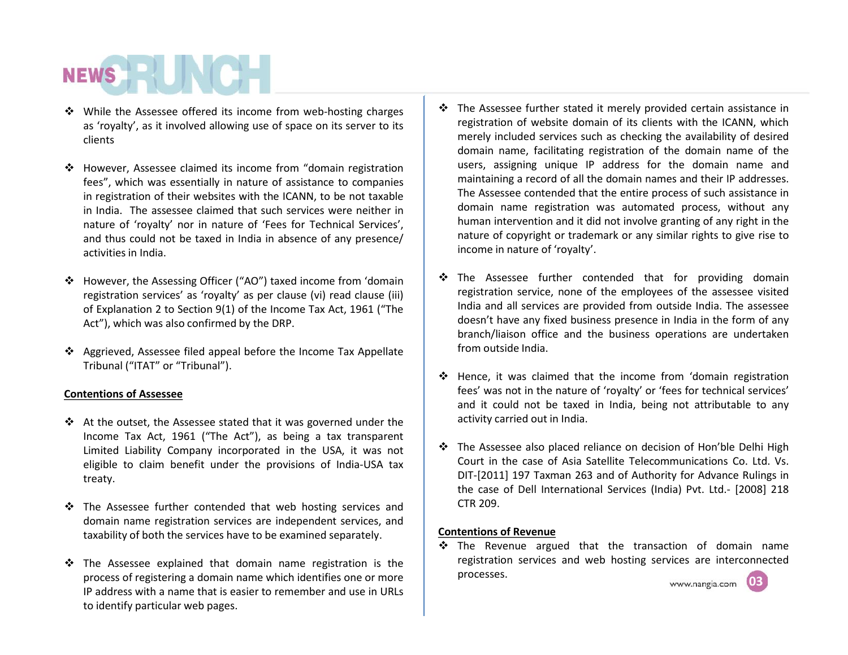- $\cdot$  While the Assessee offered its income from web-hosting charges as 'royalty', as it involved allowing use of space on its server to its clients
- However, Assessee claimed its income from "domain registration fees", which was essentially in nature of assistance to companies in registration of their websites with the ICANN, to be not taxable in India. The assessee claimed that such services were neither in nature of 'royalty' nor in nature of 'Fees for Technical Services', and thus could not be taxed in India in absence of any presence/ activities in India.
- However, the Assessing Officer ("AO") taxed income from 'domain registration services' as 'royalty' as per clause (vi) read clause (iii) of Explanation 2 to Section 9(1) of the Income Tax Act, 1961 ("The Act"), which was also confirmed by the DRP.
- Aggrieved, Assessee filed appeal before the Income Tax Appellate Tribunal ("ITAT" or "Tribunal").

#### **Contentions of Assessee**

- $\div$  At the outset, the Assessee stated that it was governed under the Income Tax Act, 1961 ("The Act"), as being a tax transparent Limited Liability Company incorporated in the USA, it was not eligible to claim benefit under the provisions of India-USA tax treaty.
- $\div$  The Assessee further contended that web hosting services and domain name registration services are independent services, and taxability of both the services have to be examined separately.
- \* The Assessee explained that domain name registration is the process of registering a domain name which identifies one or more IP address with a name that is easier to remember and use in URLs to identify particular web pages.
- \* The Assessee further stated it merely provided certain assistance in registration of website domain of its clients with the ICANN, which merely included services such as checking the availability of desired domain name, facilitating registration of the domain name of the users, assigning unique IP address for the domain name and maintaining a record of all the domain names and their IP addresses. The Assessee contended that the entire process of such assistance in domain name registration was automated process, without any human intervention and it did not involve granting of any right in the nature of copyright or trademark or any similar rights to give rise to income in nature of 'royalty'.
- \* The Assessee further contended that for providing domain registration service, none of the employees of the assessee visited India and all services are provided from outside India. The assessee doesn't have any fixed business presence in India in the form of any branch/liaison office and the business operations are undertaken from outside India.
- Hence, it was claimed that the income from 'domain registration fees' was not in the nature of 'royalty' or 'fees for technical services' and it could not be taxed in India, being not attributable to any activity carried out in India.
- The Assessee also placed reliance on decision of Hon'ble Delhi High Court in the case of Asia Satellite Telecommunications Co. Ltd. Vs. DIT-[2011] 197 Taxman 263 and of Authority for Advance Rulings in the case of Dell International Services (India) Pvt. Ltd.- [2008] 218 CTR 209.

#### **Contentions of Revenue**

**03**  $\div$  The Revenue argued that the transaction of domain name registration services and web hosting services are interconnected processes.

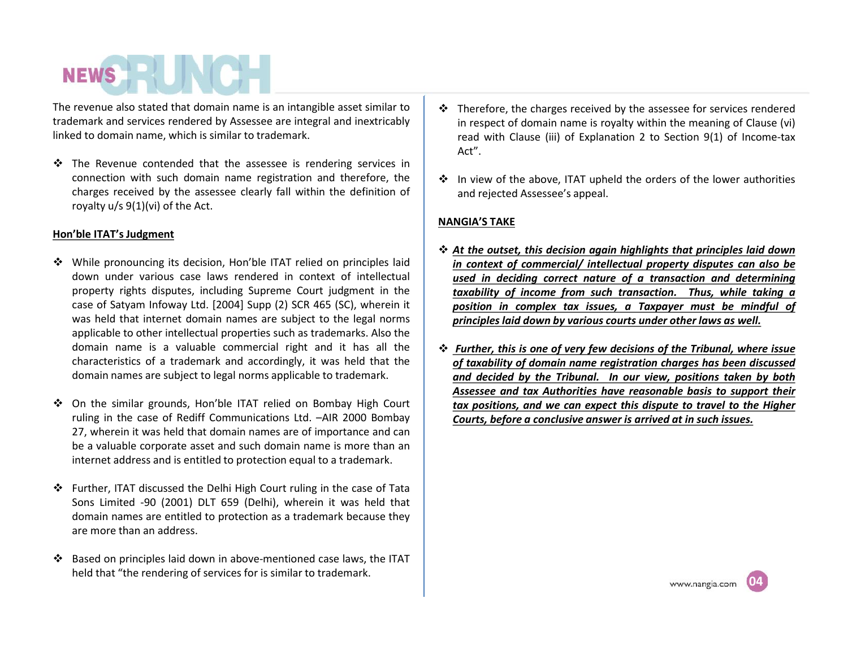The revenue also stated that domain name is an intangible asset similar to trademark and services rendered by Assessee are integral and inextricably linked to domain name, which is similar to trademark.

 $\div$  The Revenue contended that the assessee is rendering services in connection with such domain name registration and therefore, the charges received by the assessee clearly fall within the definition of royalty u/s 9(1)(vi) of the Act.

#### **Hon'ble ITAT's Judgment**

- While pronouncing its decision, Hon'ble ITAT relied on principles laid down under various case laws rendered in context of intellectual property rights disputes, including Supreme Court judgment in the case of Satyam Infoway Ltd. [2004] Supp (2) SCR 465 (SC), wherein it was held that internet domain names are subject to the legal norms applicable to other intellectual properties such as trademarks. Also the domain name is a valuable commercial right and it has all the characteristics of a trademark and accordingly, it was held that the domain names are subject to legal norms applicable to trademark.
- On the similar grounds, Hon'ble ITAT relied on Bombay High Court ruling in the case of Rediff Communications Ltd. –AIR 2000 Bombay 27, wherein it was held that domain names are of importance and can be a valuable corporate asset and such domain name is more than an internet address and is entitled to protection equal to a trademark.
- Further, ITAT discussed the Delhi High Court ruling in the case of Tata Sons Limited -90 (2001) DLT 659 (Delhi), wherein it was held that domain names are entitled to protection as a trademark because they are more than an address.
- Based on principles laid down in above-mentioned case laws, the ITAT held that "the rendering of services for is similar to trademark.
- $\cdot$  Therefore, the charges received by the assessee for services rendered in respect of domain name is royalty within the meaning of Clause (vi) read with Clause (iii) of Explanation 2 to Section 9(1) of Income-tax Act".
- $\cdot$  In view of the above, ITAT upheld the orders of the lower authorities and rejected Assessee's appeal.

#### **NANGIA'S TAKE**

- *At the outset, this decision again highlights that principles laid down in context of commercial/ intellectual property disputes can also be used in deciding correct nature of a transaction and determining taxability of income from such transaction. Thus, while taking a position in complex tax issues, a Taxpayer must be mindful of principles laid down by various courts under other laws as well.*
- *Further, this is one of very few decisions of the Tribunal, where issue of taxability of domain name registration charges has been discussed and decided by the Tribunal. In our view, positions taken by both Assessee and tax Authorities have reasonable basis to support their tax positions, and we can expect this dispute to travel to the Higher Courts, before a conclusive answer is arrived at in such issues.*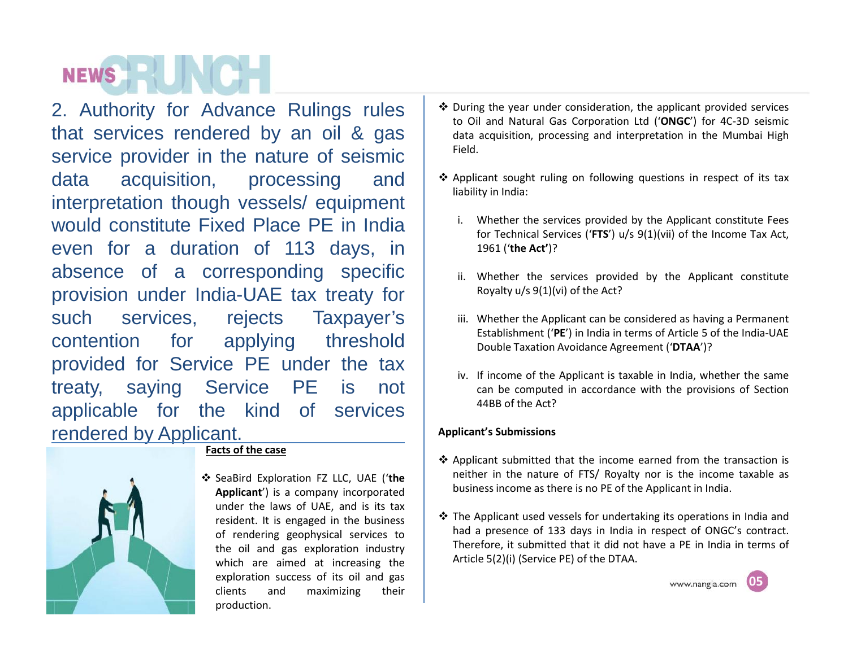2. Authority for Advance Rulings rules that services rendered by an oil & gas service provider in the nature of seismic data acquisition, processing and interpretation though vessels/ equipment would constitute Fixed Place PE in India even for a duration of 113 days, in absence of a corresponding specific provision under India-UAE tax treaty for such services, rejects Taxpayer's contention for applying threshold provided for Service PE under the tax treaty, saying Service PE is not applicable for the kind of services rendered by Applicant.



#### **Facts of the case**

 SeaBird Exploration FZ LLC, UAE ('**the Applicant**') is a company incorporated under the laws of UAE, and is its tax resident. It is engaged in the business of rendering geophysical services to the oil and gas exploration industry which are aimed at increasing the exploration success of its oil and gas clients and maximizing their production.

- $\cdot$  During the year under consideration, the applicant provided services to Oil and Natural Gas Corporation Ltd ('**ONGC**') for 4C-3D seismic data acquisition, processing and interpretation in the Mumbai High Field.
- $\triangle$  Applicant sought ruling on following questions in respect of its tax liability in India:
	- i. Whether the services provided by the Applicant constitute Fees for Technical Services ('**FTS**') u/s 9(1)(vii) of the Income Tax Act, 1961 ('**the Act'**)?
	- ii. Whether the services provided by the Applicant constitute Royalty u/s 9(1)(vi) of the Act?
	- iii. Whether the Applicant can be considered as having a Permanent Establishment ('**PE**') in India in terms of Article 5 of the India-UAE Double Taxation Avoidance Agreement ('**DTAA**')?
	- iv. If income of the Applicant is taxable in India, whether the same can be computed in accordance with the provisions of Section 44BB of the Act?

#### **Applicant's Submissions**

- $\triangle$  Applicant submitted that the income earned from the transaction is neither in the nature of FTS/ Royalty nor is the income taxable as business income as there is no PE of the Applicant in India.
- $\cdot$  The Applicant used vessels for undertaking its operations in India and had a presence of 133 days in India in respect of ONGC's contract. Therefore, it submitted that it did not have a PE in India in terms of Article 5(2)(i) (Service PE) of the DTAA.

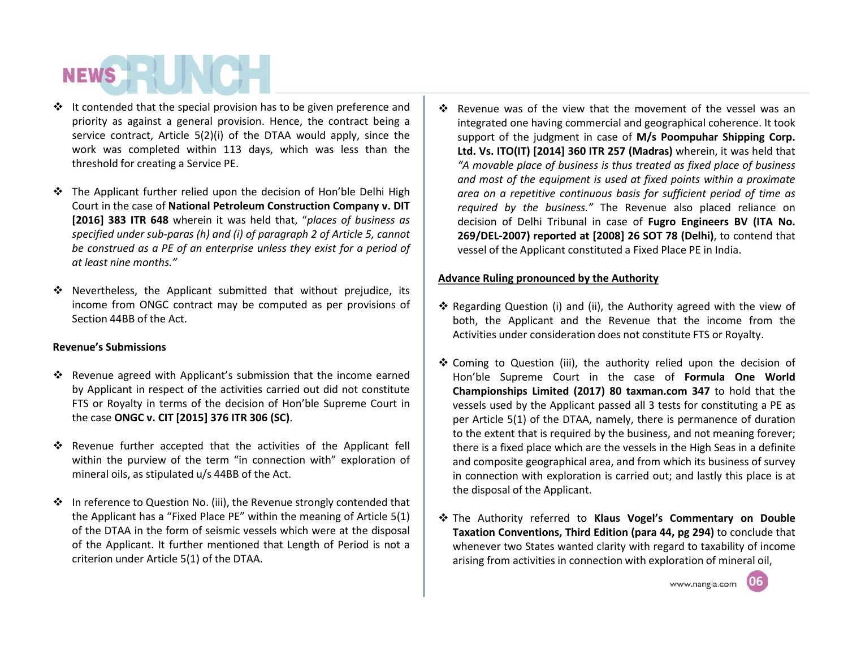- $\cdot \cdot$  It contended that the special provision has to be given preference and priority as against a general provision. Hence, the contract being a service contract, Article 5(2)(i) of the DTAA would apply, since the work was completed within 113 days, which was less than the threshold for creating a Service PE.
- The Applicant further relied upon the decision of Hon'ble Delhi High Court in the case of **National Petroleum Construction Company v. DIT [2016] 383 ITR 648** wherein it was held that, "*places of business as specified under sub-paras (h) and (i) of paragraph 2 of Article 5, cannot be construed as a PE of an enterprise unless they exist for a period of at least nine months."*
- $\div$  Nevertheless, the Applicant submitted that without prejudice, its income from ONGC contract may be computed as per provisions of Section 44BB of the Act.

#### **Revenue's Submissions**

- $\div$  Revenue agreed with Applicant's submission that the income earned by Applicant in respect of the activities carried out did not constitute FTS or Royalty in terms of the decision of Hon'ble Supreme Court in the case **ONGC v. CIT [2015] 376 ITR 306 (SC)**.
- Revenue further accepted that the activities of the Applicant fell within the purview of the term "in connection with" exploration of mineral oils, as stipulated u/s 44BB of the Act.
- ❖ In reference to Question No. (iii), the Revenue strongly contended that the Applicant has a "Fixed Place PE" within the meaning of Article 5(1) of the DTAA in the form of seismic vessels which were at the disposal of the Applicant. It further mentioned that Length of Period is not a criterion under Article 5(1) of the DTAA.

 $\cdot \cdot$  Revenue was of the view that the movement of the vessel was an integrated one having commercial and geographical coherence. It took support of the judgment in case of **M/s Poompuhar Shipping Corp. Ltd. Vs. ITO(IT) [2014] 360 ITR 257 (Madras)** wherein, it was held that *"A movable place of business is thus treated as fixed place of business and most of the equipment is used at fixed points within a proximate area on a repetitive continuous basis for sufficient period of time as required by the business."* The Revenue also placed reliance on decision of Delhi Tribunal in case of **Fugro Engineers BV (ITA No. 269/DEL-2007) reported at [2008] 26 SOT 78 (Delhi)**, to contend that vessel of the Applicant constituted a Fixed Place PE in India.

#### **Advance Ruling pronounced by the Authority**

- \* Regarding Question (i) and (ii), the Authority agreed with the view of both, the Applicant and the Revenue that the income from the Activities under consideration does not constitute FTS or Royalty.
- $\triangle$  Coming to Question (iii), the authority relied upon the decision of Hon'ble Supreme Court in the case of **Formula One World Championships Limited (2017) 80 taxman.com 347** to hold that the vessels used by the Applicant passed all 3 tests for constituting a PE as per Article 5(1) of the DTAA, namely, there is permanence of duration to the extent that is required by the business, and not meaning forever; there is a fixed place which are the vessels in the High Seas in a definite and composite geographical area, and from which its business of survey in connection with exploration is carried out; and lastly this place is at the disposal of the Applicant.
- The Authority referred to **Klaus Vogel's Commentary on Double Taxation Conventions, Third Edition (para 44, pg 294)** to conclude that whenever two States wanted clarity with regard to taxability of income arising from activities in connection with exploration of mineral oil,



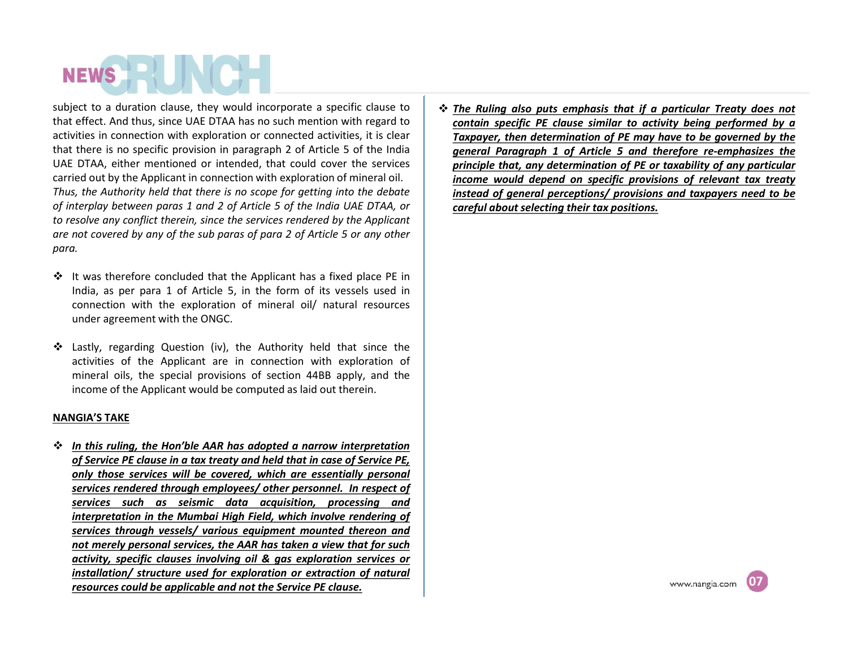subject to a duration clause, they would incorporate a specific clause to that effect. And thus, since UAE DTAA has no such mention with regard to activities in connection with exploration or connected activities, it is clear that there is no specific provision in paragraph 2 of Article 5 of the India UAE DTAA, either mentioned or intended, that could cover the services carried out by the Applicant in connection with exploration of mineral oil. *Thus, the Authority held that there is no scope for getting into the debate of interplay between paras 1 and 2 of Article 5 of the India UAE DTAA, or to resolve any conflict therein, since the services rendered by the Applicant are not covered by any ofthe sub paras of para 2 of Article 5 or any other para.*

- $\div$  It was therefore concluded that the Applicant has a fixed place PE in India, as per para 1 of Article 5, in the form of its vessels used in connection with the exploration of mineral oil/ natural resources under agreement with the ONGC.
- Lastly, regarding Question (iv), the Authority held that since the activities of the Applicant are in connection with exploration of mineral oils, the special provisions of section 44BB apply, and the income of the Applicant would be computed as laid out therein.

#### **NANGIA'S TAKE**

 *In this ruling, the Hon'ble AAR has adopted a narrow interpretation of Service PE clause in a tax treaty and held that in case of Service PE, only those services will be covered, which are essentially personal services rendered through employees/ other personnel. In respect of services such as seismic data acquisition, processing and interpretation in the Mumbai High Field, which involve rendering of services through vessels/ various equipment mounted thereon and not merely personal services, the AAR has taken a view that for such activity, specific clauses involving oil & gas exploration services or installation/ structure used for exploration or extraction of natural resources could be applicable and not the Service PE clause.*

 *The Ruling also puts emphasis that if a particular Treaty does not contain specific PE clause similar to activity being performed by a Taxpayer, then determination of PE may have to be governed by the general Paragraph 1 of Article 5 and therefore re-emphasizes the principle that, any determination of PE or taxability ofany particular income would depend on specific provisions of relevant tax treaty instead of general perceptions/ provisions and taxpayers need to be careful about selecting their tax positions.*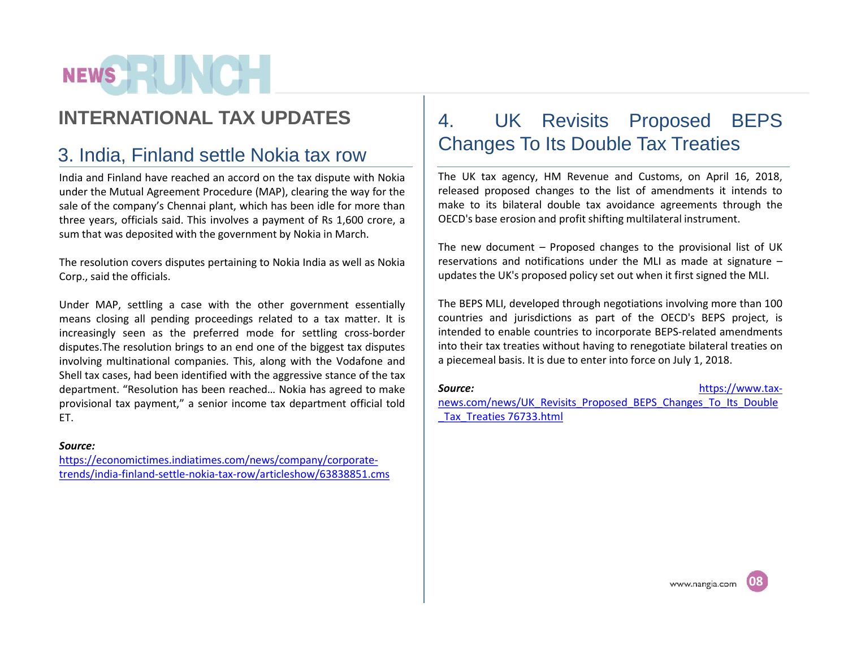### **INTERNATIONAL TAX UPDATES**

### 3. India, Finland settle Nokia tax row

India and Finland have reached an accord on the tax dispute with Nokia under the Mutual Agreement Procedure (MAP), clearing the way for the sale of the company's Chennai plant, which has been idle for more than three years, officials said. This involves a payment of Rs 1,600 crore, a sum that was deposited with the government by Nokia in March.

The resolution covers disputes pertaining to Nokia India as well as Nokia Corp., said the officials.

Under MAP, settling a case with the other government essentially means closing all pending proceedings related to a tax matter. It is increasingly seen as the preferred mode for settling cross-border disputes.The resolution brings to an end one of the biggest tax disputes involving multinational companies. This, along with the Vodafone and Shell tax cases, had been identified with the aggressive stance of the tax department. "Resolution has been reached... Nokia has agreed to make | Source: provisional tax payment," a senior income tax department official told ET.

#### *Source:*

https://economictimes.indiatimes.com/news/company/corporate trends/india-finland-settle-nokia-tax-row/articleshow/63838851.cms

### UK Revisits Proposed BEPS Changes To Its Double Tax Treaties

The UK tax agency, HM Revenue and Customs, on April 16, 2018, released proposed changes to the list of amendments it intends to make to its bilateral double tax avoidance agreements through the OECD's base erosion and profit shifting multilateral instrument.

The new document – Proposed changes to the provisional list of UK reservations and notifications under the MLI as made at signature  $$ updates the UK's proposed policy set out when it first signed the MLI.

The BEPS MLI, developed through negotiations involving more than 100 countries and jurisdictions as part of the OECD's BEPS project, is intended to enable countries to incorporate BEPS-related amendments into their tax treaties without having to renegotiate bilateral treaties on a piecemeal basis. It is due to enter into force on July 1, 2018.

https://www.taxnews.com/news/UK\_Revisits\_Proposed\_BEPS\_Changes\_To\_Its\_Double Tax Treaties 76733.html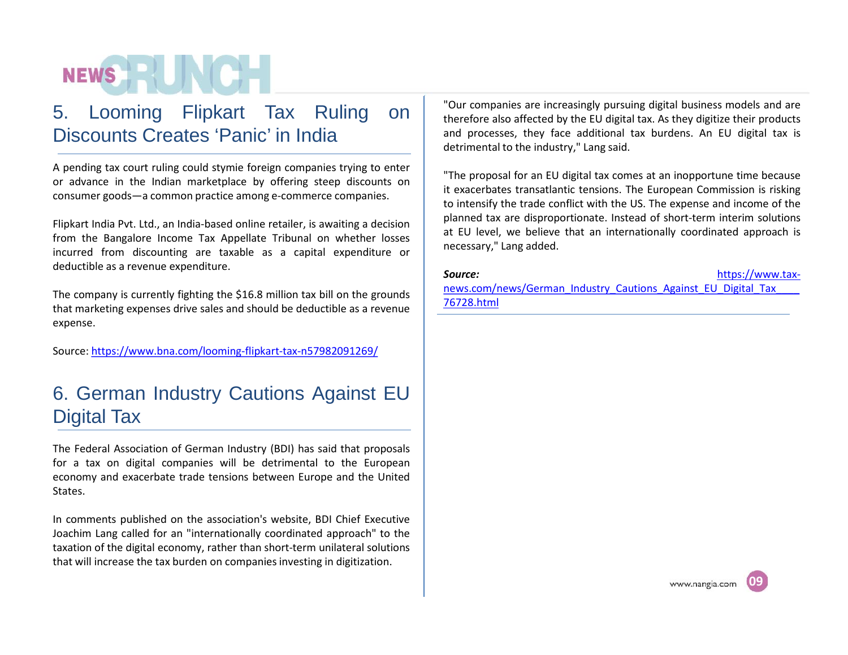### 5. Looming Flipkart Tax Ruling on Discounts Creates 'Panic' in India

A pending tax court ruling could stymie foreign companies trying to enter or advance in the Indian marketplace by offering steep discounts on consumer goods—a common practice among e-commerce companies.

Flipkart India Pvt. Ltd., an India-based online retailer, is awaiting a decision from the Bangalore Income Tax Appellate Tribunal on whether losses incurred from discounting are taxable as a capital expenditure or deductible as a revenue expenditure.

The company is currently fighting the \$16.8 million tax bill on the grounds that marketing expenses drive sales and should be deductible as a revenue expense.

Source: https://www.bna.com/looming-flipkart-tax-n57982091269/

### 6. German Industry Cautions Against EU Digital Tax

The Federal Association of German Industry (BDI) has said that proposals for a tax on digital companies will be detrimental to the European economy and exacerbate trade tensions between Europe and the United States.

In comments published on the association's website, BDI Chief Executive Joachim Lang called for an "internationally coordinated approach" to the taxation of the digital economy, rather than short-term unilateral solutions that will increase the tax burden on companies investing in digitization.

"Our companies are increasingly pursuing digital business models and are therefore also affected by the EU digital tax. As they digitize their products and processes, they face additional tax burdens. An EU digital tax is detrimental to the industry," Lang said.

"The proposal for an EU digital tax comes at an inopportune time because it exacerbates transatlantic tensions. The European Commission is risking to intensify the trade conflict with the US. The expense and income of the planned tax are disproportionate. Instead of short-term interim solutions at EU level, we believe that an internationally coordinated approach is necessary," Lang added.

#### *Source:* https://www.tax-

news.com/news/German\_Industry\_Cautions\_Against\_EU\_Digital\_Tax 76728.html

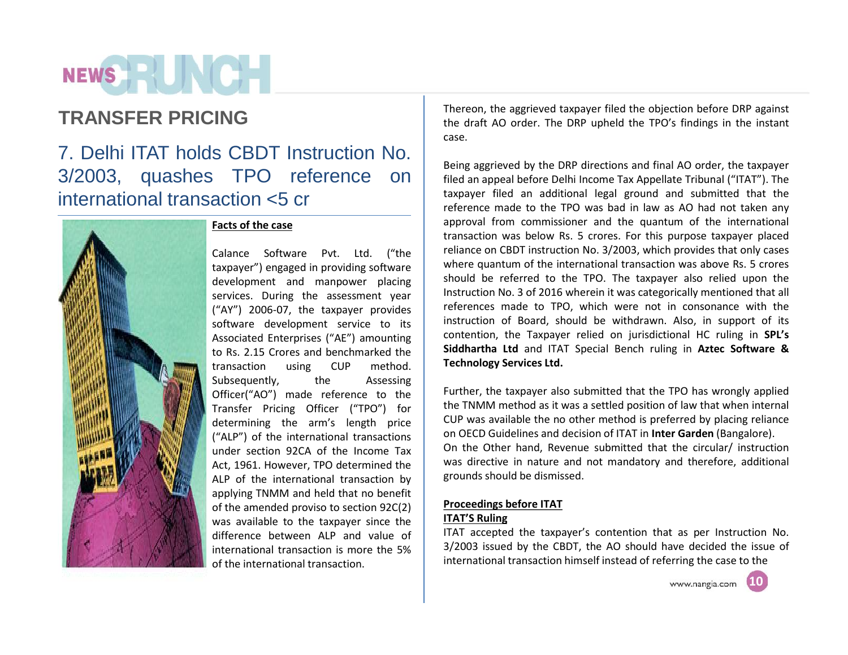# NEWS **EXISTENT**

7. Delhi ITAT holds CBDT Instruction No. 3/2003, quashes TPO reference on international transaction <5 cr



#### **Facts of the case**

Calance Software Pvt. Ltd. ("the taxpayer") engaged in providing software development and manpower placing services. During the assessment year ("AY") 2006-07, the taxpayer provides software development service to its Associated Enterprises ("AE") amounting to Rs. 2.15 Crores and benchmarked the transaction using CUP method. Subsequently, the Assessing Officer("AO") made reference to the Transfer Pricing Officer ("TPO") for determining the arm's length price ("ALP") of the international transactions under section 92CA of the Income Tax Act, 1961. However, TPO determined the ALP of the international transaction by applying TNMM and held that no benefit of the amended proviso to section 92C(2) was available to the taxpayer since the difference between ALP and value of international transaction is more the 5% of the international transaction.

**TRANSFER PRICING** Thereon, the aggrieved taxpayer filed the objection before DRP against the draft AO order. The DRP upheld the TPO's findings in the instant case.

> Being aggrieved by the DRP directions and final AO order, the taxpayer filed an appeal before Delhi Income Tax Appellate Tribunal ("ITAT"). The taxpayer filed an additional legal ground and submitted that the reference made to the TPO was bad in law as AO had not taken any approval from commissioner and the quantum of the international transaction was below Rs. 5 crores. For this purpose taxpayer placed reliance on CBDT instruction No. 3/2003, which provides that only cases where quantum of the international transaction was above Rs. 5 crores should be referred to the TPO. The taxpayer also relied upon the Instruction No. 3 of 2016 wherein it was categorically mentioned that all references made to TPO, which were not in consonance with the instruction of Board, should be withdrawn. Also, in support of its contention, the Taxpayer relied on jurisdictional HC ruling in **SPL's Siddhartha Ltd** and ITAT Special Bench ruling in **Aztec Software & Technology Services Ltd.**

> Further, the taxpayer also submitted that the TPO has wrongly applied the TNMM method as it was a settled position of law that when internal CUP was available the no other method is preferred by placing reliance on OECD Guidelines and decision of ITAT in **Inter Garden** (Bangalore). On the Other hand, Revenue submitted that the circular/ instruction was directive in nature and not mandatory and therefore, additional grounds should be dismissed.

#### **Proceedings before ITAT**

#### **ITAT'S Ruling**

ITAT accepted the taxpayer's contention that as per Instruction No. 3/2003 issued by the CBDT, the AO should have decided the issue of international transaction himself instead of referring the case to the



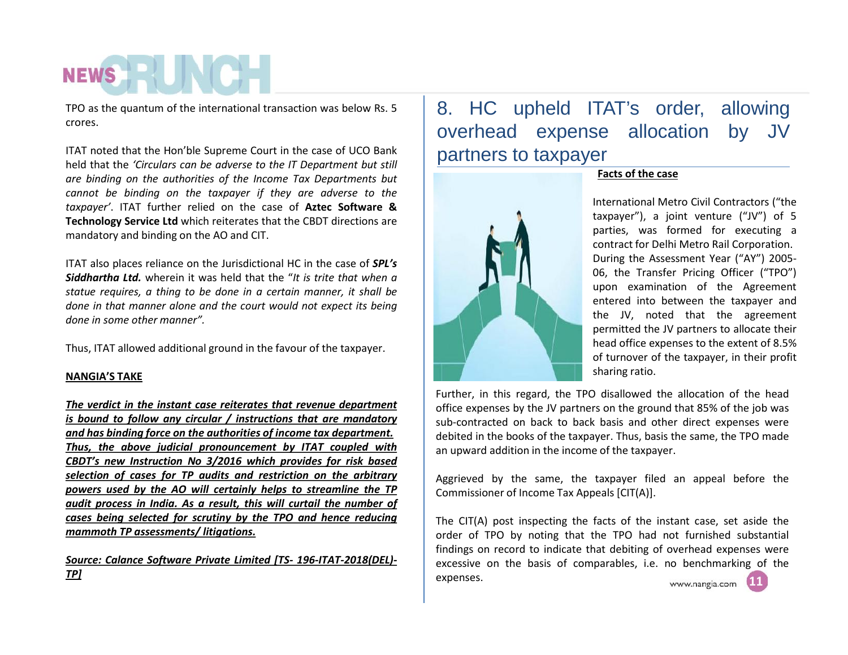TPO as the quantum of the international transaction was below Rs. 5 crores.

ITAT noted that the Hon'ble Supreme Court in the case of UCO Bank held that the *'Circulars can be adverse to the IT Department but still are binding on the authorities of the Income Tax Departments but cannot be binding on the taxpayer if they are adverse to the taxpayer'*. ITAT further relied on the case of**Aztec Software & Technology Service Ltd** which reiterates that the CBDT directions are mandatory and binding on the AO and CIT.

ITAT also places reliance on the Jurisdictional HC in the case of *SPL's Siddhartha Ltd.*wherein it was held that the "*It is trite that when a statue requires, a thing to be done in a certain manner, it shall be done in that manner alone and the court would not expect its being done in some other manner".*

Thus, ITAT allowed additional ground in the favour of the taxpayer.

#### **NANGIA'S TAKE**

*The verdict in the instant case reiterates that revenue department is bound to follow any circular / instructions that are mandatory and has binding force on the authorities of income tax department. Thus, the above judicial pronouncement by ITAT coupled with CBDT's new Instruction No 3/2016 which provides for risk based selection of cases for TP audits and restriction on the arbitrary powers used by the AO will certainly helps to streamline the TP audit process in India. As a result, this will curtail the number of cases being selected for scrutiny by the TPO and hence reducing mammoth TP assessments/ litigations.*

#### *Source: Calance Software Private Limited [TS- 196-ITAT-2018(DEL)- TP]*

### 8. HC upheld ITAT's order, allowing overhead expense allocation by JV partners to taxpayer

**Facts of the case**



International Metro Civil Contractors ("the taxpayer"), a joint venture ("JV") of 5 parties, was formed for executing a contract for Delhi Metro Rail Corporation. During the Assessment Year ("AY") 2005- 06, the Transfer Pricing Officer ("TPO") upon examination of the Agreement entered into between the taxpayer and the JV, noted that the agreement permitted the JV partners to allocate their head office expenses to the extent of 8.5% of turnover of the taxpayer, in their profit sharing ratio.

**0505**

Further, in this regard, the TPO disallowed the allocation of the head office expenses by the JV partners on the ground that 85% of the job was sub-contracted on back to back basis and other direct expenses were debited in the books of the taxpayer. Thus, basis the same, the TPO made an upward addition in the income of the taxpayer.

Aggrieved by the same, the taxpayer filed an appeal before the Commissioner of Income Tax Appeals [CIT(A)].

The CIT(A) post inspecting the facts of the instant case, set aside the order of TPO by noting that the TPO had not furnished substantial findings on record to indicate that debiting of overhead expenses were excessive on the basis of comparables, i.e. no benchmarking of the expenses.**11** www.nangia.com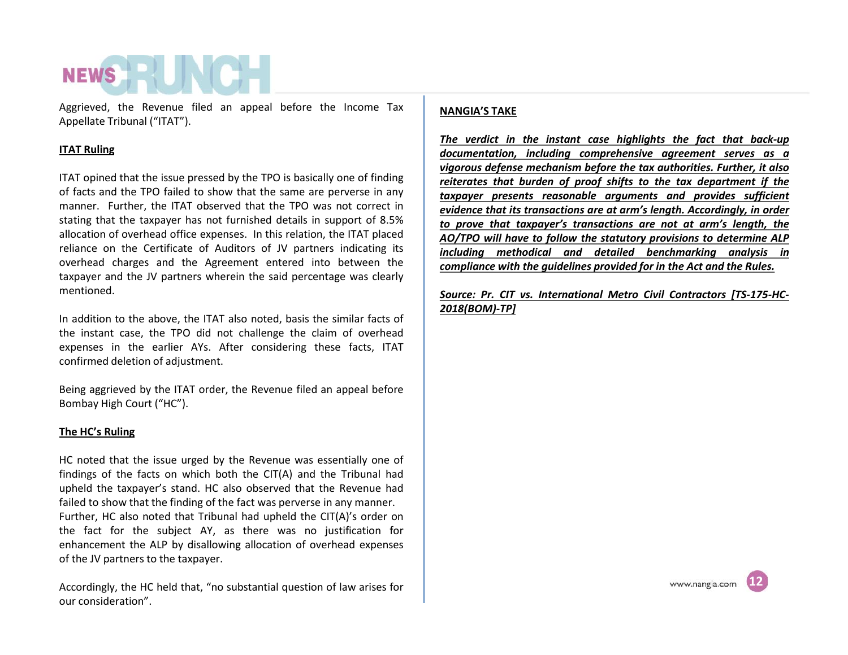Aggrieved, the Revenue filed an appeal before the Income Tax Appellate Tribunal ("ITAT").

#### **ITAT Ruling**

ITAT opined that the issue pressed by the TPO is basically one of finding of facts and the TPO failed to show that the same are perverse in any manner. Further, the ITAT observed that the TPO was not correct in stating that the taxpayer has not furnished details in support of 8.5% allocation of overhead office expenses. In this relation, the ITAT placed reliance on the Certificate of Auditors of JV partners indicating its overhead charges and the Agreement entered into between the taxpayer and the JV partners wherein the said percentage was clearly mentioned.

In addition to the above, the ITAT also noted, basis the similar facts of the instant case, the TPO did not challenge the claim of overhead expenses in the earlier AYs. After considering these facts, ITAT confirmed deletion of adjustment.

Being aggrieved by the ITAT order, the Revenue filed an appeal before Bombay High Court ("HC").

#### **The HC's Ruling**

HC noted that the issue urged by the Revenue was essentially one of findings of the facts on which both the CIT(A) and the Tribunal had upheld the taxpayer's stand. HC also observed that the Revenue had failed to show that the finding of the fact was perverse in any manner. Further, HC also noted that Tribunal had upheld the CIT(A)'s order on the fact for the subject AY, as there was no justification for enhancement the ALP by disallowing allocation of overhead expenses of the JV partners to the taxpayer.

Accordingly, the HC held that, "no substantial question of law arises for our consideration".

#### **NANGIA'S TAKE**

*The verdict in the instant case highlights the fact that back-up documentation, including comprehensive agreement serves as a vigorous defense mechanism before the tax authorities. Further, it also reiterates that burden of proof shifts to the tax department if the taxpayer presents reasonable arguments and provides sufficient evidence that its transactions are at arm's length. Accordingly, in order to prove that taxpayer's transactions are not at arm's length, the AO/TPO will have to follow the statutory provisions to determine ALP including methodical and detailed benchmarking analysis in compliance with the guidelines provided for in the Act and the Rules.*

*Source: Pr. CIT vs. International Metro Civil Contractors [TS-175-HC- 2018(BOM)-TP]*

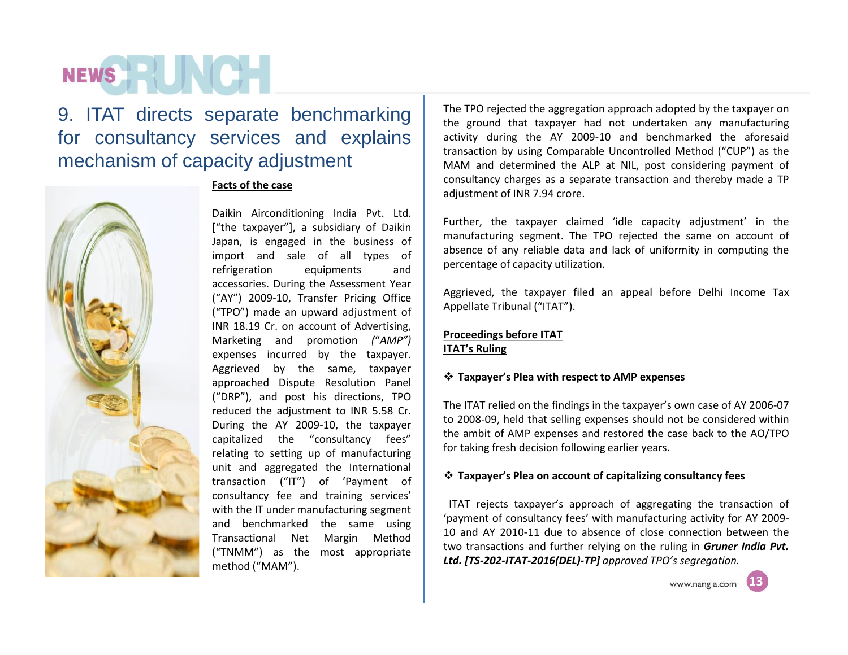9. ITAT directs separate benchmarking for consultancy services and explains mechanism of capacity adjustment



**Facts of the case**

Daikin Airconditioning India Pvt. Ltd. ["the taxpayer"], a subsidiary of Daikin Japan, is engaged in the business of import and sale of all types of refrigeration equipments and accessories. During the Assessment Year ("AY") 2009-10, Transfer Pricing Office ("TPO") made an upward adjustment of INR 18.19 Cr. on account of Advertising, Marketing and promotion *(*"*AMP")* expenses incurred by the taxpayer. Aggrieved by the same, taxpayer approached Dispute Resolution Panel ("DRP"), and post his directions, TPO reduced the adjustment to INR 5.58 Cr. During the AY 2009-10, the taxpayer capitalized the "consultancy fees" relating to setting up of manufacturing unit and aggregated the International transaction ("IT") of 'Payment of consultancy fee and training services' with the IT under manufacturing segment and benchmarked the same using Transactional Net Margin Method method ("MAM").

The TPO rejected the aggregation approach adopted by the taxpayer on the ground that taxpayer had not undertaken any manufacturing activity during the AY 2009-10 and benchmarked the aforesaid transaction by using Comparable Uncontrolled Method ("CUP") as the MAM and determined the ALP at NIL, post considering payment of consultancy charges as a separate transaction and thereby made a TP adjustment of INR 7.94 crore.

Further, the taxpayer claimed 'idle capacity adjustment' in the manufacturing segment. The TPO rejected the same on account of absence of any reliable data and lack of uniformity in computing the percentage of capacity utilization.

Aggrieved, the taxpayer filed an appeal before Delhi Income Tax Appellate Tribunal ("ITAT").

#### **Proceedings before ITAT ITAT's Ruling**

#### **Taxpayer's Plea with respect to AMP expenses**

The ITAT relied on the findings in the taxpayer's own case of AY 2006-07 to 2008-09, held that selling expenses should not be considered within the ambit of AMP expenses and restored the case back to the AO/TPO for taking fresh decision following earlier years.

#### **Taxpayer's Plea on account of capitalizing consultancy fees**

("TNMM") as the most appropriate we dansactions and further relying on the runng in **Graner**<br>**Ltd. [TS-202-ITAT-2016(DEL)-TP**] approved TPO's segregation. ITAT rejects taxpayer's approach of aggregating the transaction of 'payment of consultancy fees' with manufacturing activity for AY 2009- 10 and AY 2010-11 due to absence of close connection between the two transactions and further relying on the ruling in *Gruner India Pvt.*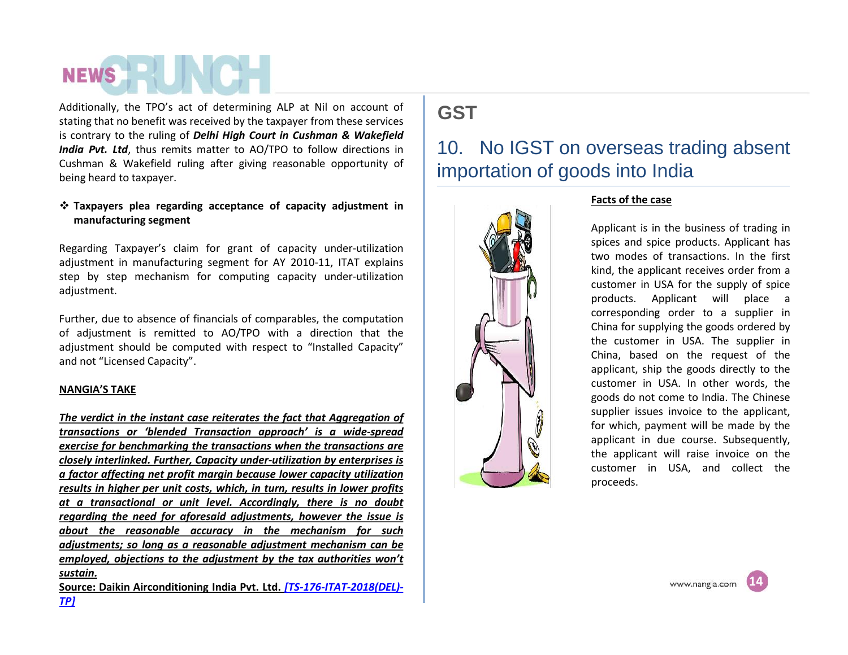Additionally, the TPO's act of determining ALP at Nil on account of stating that no benefit was received by the taxpayer from these services is contrary to the ruling of*Delhi High Court in Cushman & Wakefield India Pvt. Ltd*, thus remits matter to AO/TPO to follow directions in Cushman & Wakefield ruling after giving reasonable opportunity of being heard to taxpayer.

#### **Taxpayers plea regarding acceptance ofcapacity adjustment in manufacturing segment**

Regarding Taxpayer's claim for grant of capacity under-utilization adjustment in manufacturing segment for AY 2010-11, ITAT explains step by step mechanism for computing capacity under-utilization adjustment.

Further, due to absence of financials of comparables, the computation of adjustment is remitted to AO/TPO with a direction that the adjustment should be computed with respect to "Installed Capacity" and not "Licensed Capacity".

#### **NANGIA'S TAKE**

*The verdict in the instant case reiterates the fact that Aggregation of transactions or 'blended Transaction approach' is a wide-spread exercise for benchmarking the transactions when the transactions are closely interlinked. Further, Capacity under-utilization by enterprises is a factor affecting net profit margin because lower capacity utilization results in higher per unit costs, which, in turn, results in lower profits at a transactional or unit level. Accordingly, there is no doubt regarding the need for aforesaid adjustments, however the issue is about the reasonable accuracy in the mechanism for such adjustments; so long as a reasonable adjustment mechanism can be employed, objections to the adjustment by the tax authorities won't sustain.*

**Source: Daikin Airconditioning India Pvt. Ltd.** *[TS-176-ITAT-2018(DEL)- TP]*

### **GST**

### 10. No IGST on overseas trading absent importation of goods into India



#### **Facts of the case**

Applicant is in the business of trading in spices and spice products. Applicant has two modes of transactions. In the first kind, the applicant receives order from a customer in USA for the supply of spice products. Applicant will place a corresponding order to a supplier in China for supplying the goods ordered by the customer in USA. The supplier in China, based on the request of the applicant, ship the goods directly to the customer in USA. In other words, the goods do not come to India. The Chinese supplier issues invoice to the applicant, for which, payment will be made by the applicant in due course. Subsequently, the applicant will raise invoice on the customer in USA, and collect the proceeds.

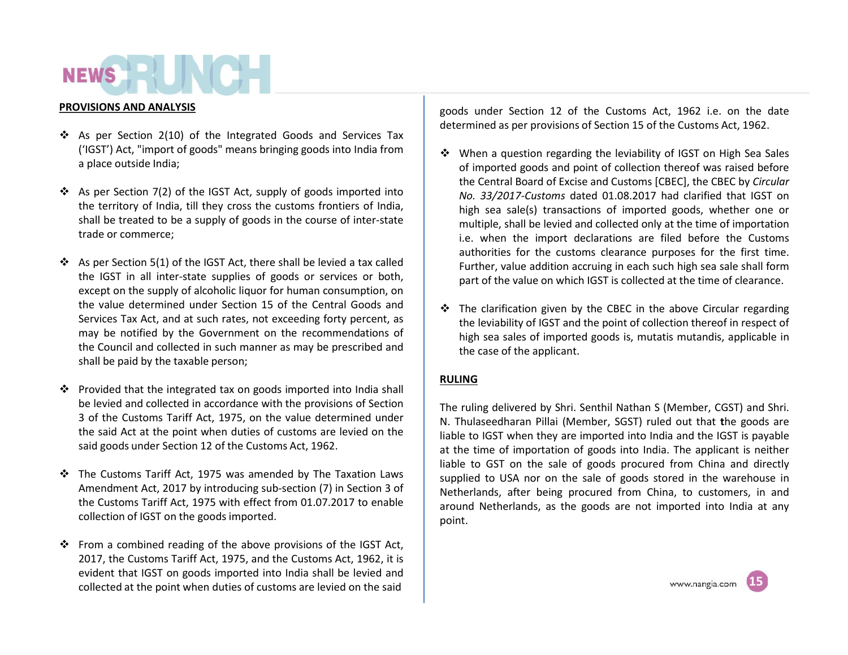#### **PROVISIONS AND ANALYSIS**

- $\cdot$  As per Section 2(10) of the Integrated Goods and Services Tax ('IGST') Act, "import of goods" means bringing goods into India from a place outside India;
- $\cdot$  As per Section 7(2) of the IGST Act, supply of goods imported into the territory of India, till they cross the customs frontiers of India, shall be treated to be a supply of goods in the course of inter-state trade or commerce;
- $\cdot$  As per Section 5(1) of the IGST Act, there shall be levied a tax called the IGST in all inter-state supplies of goods or services or both, except on the supply of alcoholic liquor for human consumption, on the value determined under Section 15 of the Central Goods and Services Tax Act, and at such rates, not exceeding forty percent, as may be notified by the Government on the recommendations of the Council and collected in such manner as may be prescribed and shall be paid by the taxable person;
- $\cdot \cdot$  Provided that the integrated tax on goods imported into India shall be levied and collected in accordance with the provisions of Section 3 of the Customs Tariff Act, 1975, on the value determined under the said Act at the point when duties of customs are levied on the said goods under Section 12 of the Customs Act, 1962.
- $\cdot \cdot$  The Customs Tariff Act, 1975 was amended by The Taxation Laws Amendment Act, 2017 by introducing sub-section (7) in Section 3 of the Customs Tariff Act, 1975 with effect from 01.07.2017 to enable collection of IGST on the goods imported.
- \* From a combined reading of the above provisions of the IGST Act, 2017, the Customs Tariff Act, 1975, and the Customs Act, 1962, it is evident that IGST on goods imported into India shall be levied and collected at the point when duties of customs are levied on the said

goods under Section 12 of the Customs Act, 1962 i.e. on the date determined as per provisions of Section 15 of the Customs Act, 1962.

- $\div$  When a question regarding the leviability of IGST on High Sea Sales of imported goods and point of collection thereof was raised before the Central Board of Excise and Customs [CBEC], the CBEC by *Circular No. 33/2017-Customs* dated 01.08.2017 had clarified that IGST on high sea sale(s) transactions of imported goods, whether one or multiple, shall be levied and collected only at the time of importation i.e. when the import declarations are filed before the Customs authorities for the customs clearance purposes for the first time. Further, value addition accruing in each such high sea sale shall form part of the value on which IGST is collected at the time of clearance.
- $\div$  The clarification given by the CBEC in the above Circular regarding the leviability of IGST and the point of collection thereof in respect of high sea sales of imported goods is, mutatis mutandis, applicable in the case of the applicant.

#### **RULING**

The ruling delivered by Shri. Senthil Nathan S (Member, CGST) and Shri. N. Thulaseedharan Pillai (Member, SGST) ruled out that **t**he goods are liable to IGST when they are imported into India and the IGST is payable at the time of importation of goods into India. The applicant is neither liable to GST on the sale of goods procured from China and directly supplied to USA nor on the sale of goods stored in the warehouse in Netherlands, after being procured from China, to customers, in and around Netherlands, as the goods are not imported into India at any point.